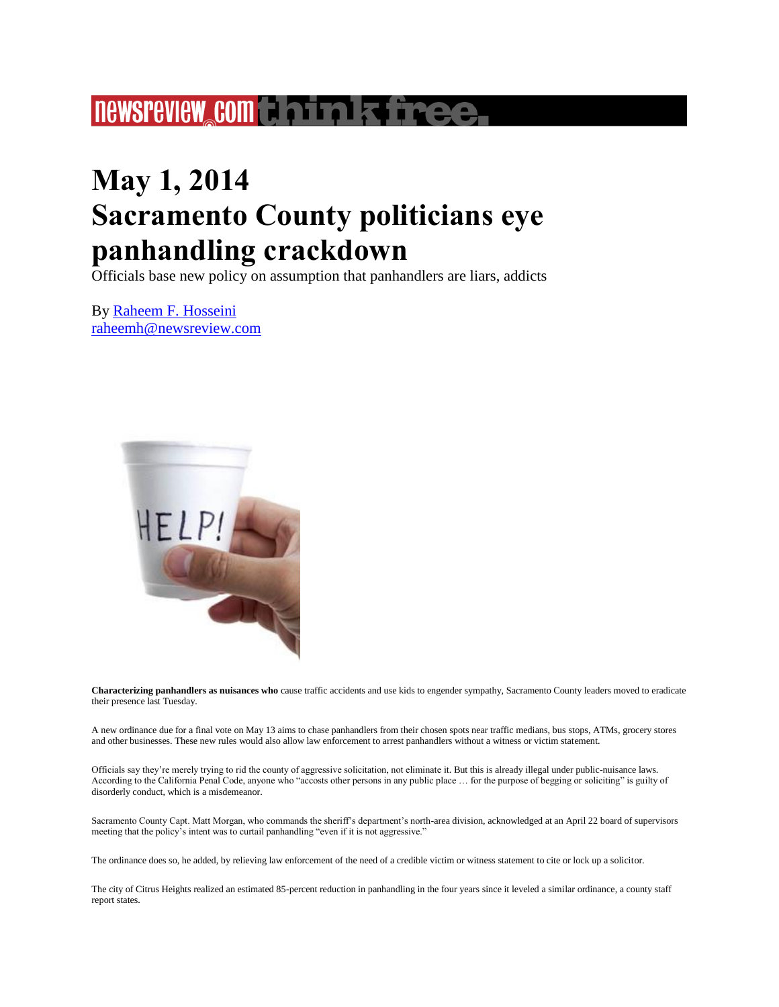## **newsreview complements firee**

## **May 1, 2014 Sacramento County politicians eye panhandling crackdown**

Officials base new policy on assumption that panhandlers are liars, addicts

By [Raheem F. Hosseini](http://www.newsreview.com/sacramento/raheem-f-hosseini/author) [raheemh@newsreview.com](http://www.newsreview.com/sacramento/Contact?content=13342064)



**Characterizing panhandlers as nuisances who** cause traffic accidents and use kids to engender sympathy, Sacramento County leaders moved to eradicate their presence last Tuesday.

A new ordinance due for a final vote on May 13 aims to chase panhandlers from their chosen spots near traffic medians, bus stops, ATMs, grocery stores and other businesses. These new rules would also allow law enforcement to arrest panhandlers without a witness or victim statement.

Officials say they're merely trying to rid the county of aggressive solicitation, not eliminate it. But this is already illegal under public-nuisance laws. According to the California Penal Code, anyone who "accosts other persons in any public place … for the purpose of begging or soliciting" is guilty of disorderly conduct, which is a misdemeanor.

Sacramento County Capt. Matt Morgan, who commands the sheriff's department's north-area division, acknowledged at an April 22 board of supervisors meeting that the policy's intent was to curtail panhandling "even if it is not aggressive."

The ordinance does so, he added, by relieving law enforcement of the need of a credible victim or witness statement to cite or lock up a solicitor.

The city of Citrus Heights realized an estimated 85-percent reduction in panhandling in the four years since it leveled a similar ordinance, a county staff report states.